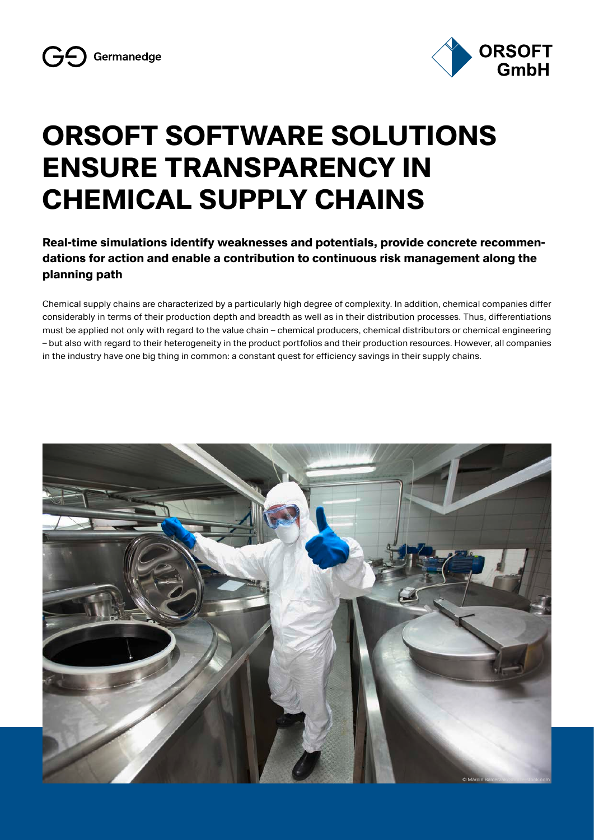

# **ORSOFT SOFTWARE SOLUTIONS ENSURE TRANSPARENCY IN CHEMICAL SUPPLY CHAINS**

**Real-time simulations identify weaknesses and potentials, provide concrete recommendations for action and enable a contribution to continuous risk management along the planning path**

Chemical supply chains are characterized by a particularly high degree of complexity. In addition, chemical companies differ considerably in terms of their production depth and breadth as well as in their distribution processes. Thus, differentiations must be applied not only with regard to the value chain – chemical producers, chemical distributors or chemical engineering – but also with regard to their heterogeneity in the product portfolios and their production resources. However, all companies in the industry have one big thing in common: a constant quest for efficiency savings in their supply chains.

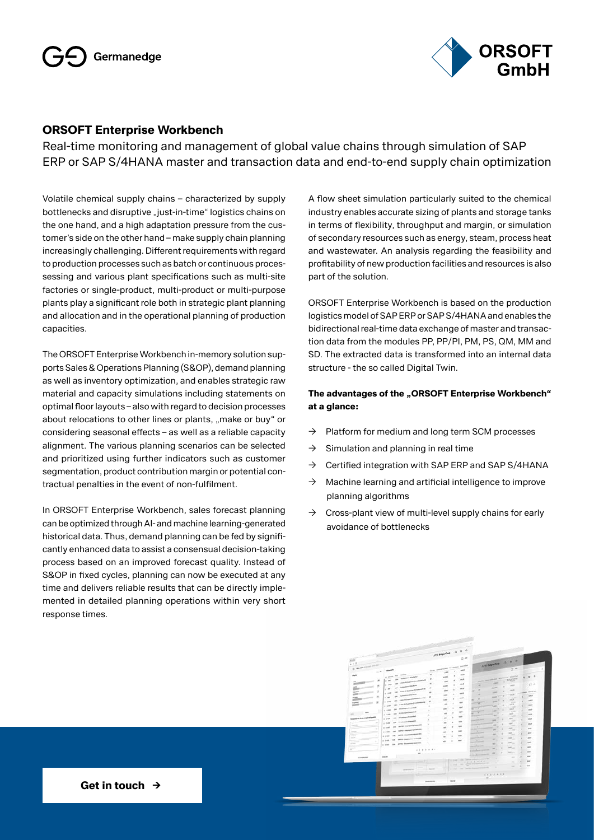

### **ORSOFT Enterprise Workbench**

Real-time monitoring and management of global value chains through simulation of SAP ERP or SAP S/4HANA master and transaction data and end-to-end supply chain optimization

Volatile chemical supply chains – characterized by supply bottlenecks and disruptive "just-in-time" logistics chains on the one hand, and a high adaptation pressure from the customer's side on the other hand – make supply chain planning increasingly challenging. Different requirements with regard to production processes such as batch or continuous processessing and various plant specifications such as multi-site factories or single-product, multi-product or multi-purpose plants play a significant role both in strategic plant planning and allocation and in the operational planning of production capacities.

The ORSOFT Enterprise Workbench in-memory solution supports Sales & Operations Planning (S&OP), demand planning as well as inventory optimization, and enables strategic raw material and capacity simulations including statements on optimal floor layouts – also with regard to decision processes about relocations to other lines or plants, "make or buy" or considering seasonal effects – as well as a reliable capacity alignment. The various planning scenarios can be selected and prioritized using further indicators such as customer segmentation, product contribution margin or potential contractual penalties in the event of non-fulfilment.

In ORSOFT Enterprise Workbench, sales forecast planning can be optimized through AI- and machine learning-generated historical data. Thus, demand planning can be fed by significantly enhanced data to assist a consensual decision-taking process based on an improved forecast quality. Instead of S&OP in fixed cycles, planning can now be executed at any time and delivers reliable results that can be directly implemented in detailed planning operations within very short response times.

A flow sheet simulation particularly suited to the chemical industry enables accurate sizing of plants and storage tanks in terms of flexibility, throughput and margin, or simulation of secondary resources such as energy, steam, process heat and wastewater. An analysis regarding the feasibility and profitability of new production facilities and resources is also part of the solution.

ORSOFT Enterprise Workbench is based on the production logistics model of SAP ERP or SAP S/4HANA and enables the bidirectional real-time data exchange of master and transaction data from the modules PP, PP/PI, PM, PS, QM, MM and SD. The extracted data is transformed into an internal data structure - the so called Digital Twin.

#### The advantages of the "ORSOFT Enterprise Workbench" **at a glance:**

- $\rightarrow$  Platform for medium and long term SCM processes
- $\rightarrow$  Simulation and planning in real time
- $\rightarrow$  Certified integration with SAP ERP and SAP S/4HANA
- $\rightarrow$  Machine learning and artificial intelligence to improve planning algorithms
- $\rightarrow$  Cross-plant view of multi-level supply chains for early avoidance of bottlenecks

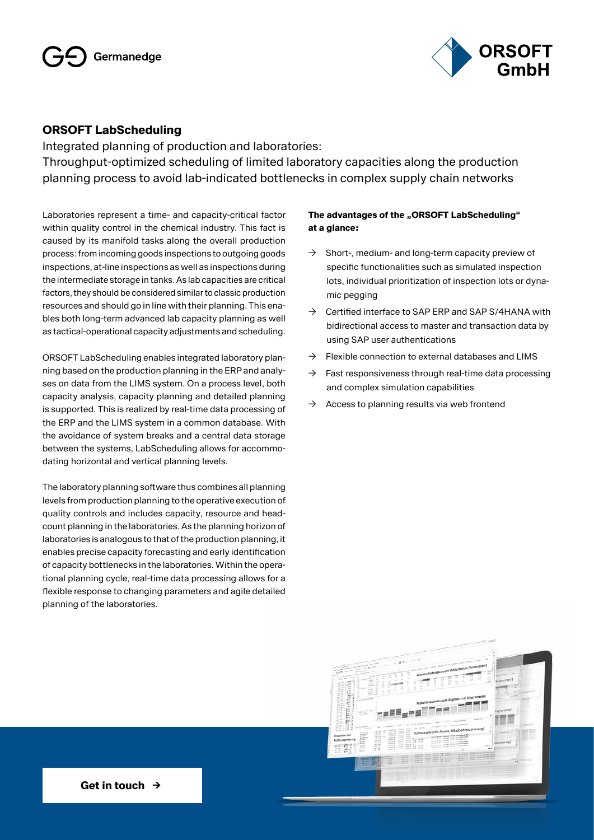

### **ORSOFT LabScheduling**

Integrated planning of production and laboratories: Throughput-optimized scheduling of limited laboratory capacities along the production planning process to avoid lab-indicated bottlenecks in complex supply chain networks

Laboratories represent a time- and capacity-critical factor within quality control in the chemical industry. This fact is caused by its manifold tasks along the overall production process: from incoming goods inspections to outgoing goods inspections, at-line inspections as well as inspections during the intermediate storage in tanks. As lab capacities are critical factors, they should be considered similar to classic production resources and should go in line with their planning. This enables both long-term advanced lab capacity planning as well as tactical-operational capacity adjustments and scheduling.

ORSOFT LabScheduling enables integrated laboratory planning based on the production planning in the ERP and analyses on data from the LIMS system. On a process level, both capacity analysis, capacity planning and detailed planning is supported. This is realized by real-time data processing of the ERP and the LIMS system in a common database. With the avoidance of system breaks and a central data storage between the systems, LabScheduling allows for accommodating horizontal and vertical planning levels.

The laboratory planning software thus combines all planning levels from production planning to the operative execution of quality controls and includes capacity, resource and headcount planning in the laboratories. As the planning horizon of laboratories is analogous to that of the production planning, it enables precise capacity forecasting and early identification of capacity bottlenecks in the laboratories. Within the operational planning cycle, real-time data processing allows for a flexible response to changing parameters and agile detailed planning of the laboratories.

#### **The advantages of the "ORSOFT LabScheduling" at a glance:**

- $\rightarrow$  Short-, medium- and long-term capacity preview of specific functionalities such as simulated inspection lots, individual prioritization of inspection lots or dynamic pegging
- $\rightarrow$  Certified interface to SAP ERP and SAP S/4HANA with bidirectional access to master and transaction data by using SAP user authentications
- $\rightarrow$  Flexible connection to external databases and LIMS
- $\rightarrow$  Fast responsiveness through real-time data processing and complex simulation capabilities
- $\rightarrow$  Access to planning results via web frontend

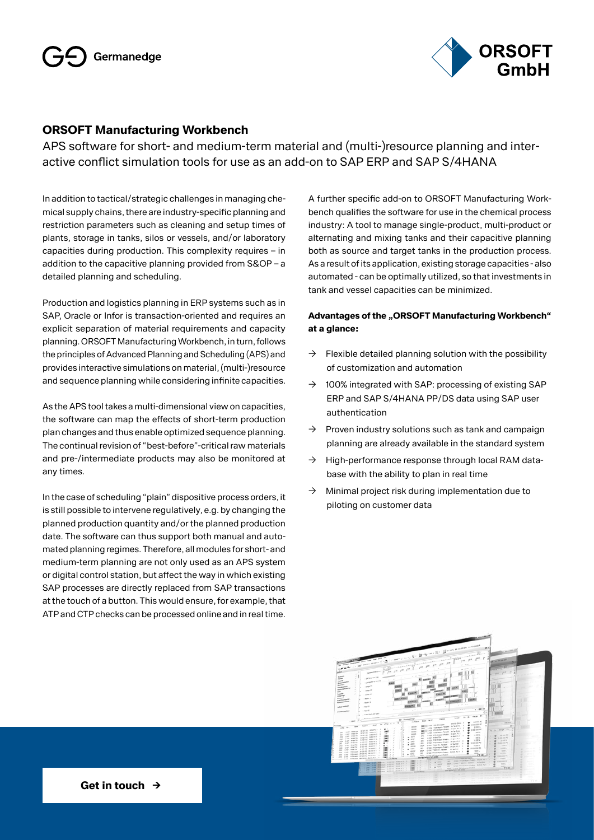

## **ORSOFT Manufacturing Workbench**

APS software for short- and medium-term material and (multi-)resource planning and interactive conflict simulation tools for use as an add-on to SAP ERP and SAP S/4HANA

In addition to tactical/strategic challenges in managing chemical supply chains, there are industry-specific planning and restriction parameters such as cleaning and setup times of plants, storage in tanks, silos or vessels, and/or laboratory capacities during production. This complexity requires – in addition to the capacitive planning provided from S&OP – a detailed planning and scheduling.

Production and logistics planning in ERP systems such as in SAP, Oracle or Infor is transaction-oriented and requires an explicit separation of material requirements and capacity planning. ORSOFT Manufacturing Workbench, in turn, follows the principles of Advanced Planning and Scheduling (APS) and provides interactive simulations on material, (multi-)resource and sequence planning while considering infinite capacities.

As the APS tool takes a multi-dimensional view on capacities, the software can map the effects of short-term production plan changes and thus enable optimized sequence planning. The continual revision of "best-before"-critical raw materials and pre-/intermediate products may also be monitored at any times.

In the case of scheduling "plain" dispositive process orders, it is still possible to intervene regulatively, e.g. by changing the planned production quantity and/or the planned production date. The software can thus support both manual and automated planning regimes. Therefore, all modules for short- and medium-term planning are not only used as an APS system or digital control station, but affect the way in which existing SAP processes are directly replaced from SAP transactions at the touch of a button. This would ensure, for example, that ATP and CTP checks can be processed online and in real time.

A further specific add-on to ORSOFT Manufacturing Workbench qualifies the software for use in the chemical process industry: A tool to manage single-product, multi-product or alternating and mixing tanks and their capacitive planning both as source and target tanks in the production process. As a result of its application, existing storage capacities - also automated - can be optimally utilized, so that investments in tank and vessel capacities can be minimized.

#### Advantages of the "ORSOFT Manufacturing Workbench" **at a glance:**

- $\rightarrow$  Flexible detailed planning solution with the possibility of customization and automation
- $\rightarrow$  100% integrated with SAP: processing of existing SAP ERP and SAP S/4HANA PP/DS data using SAP user authentication
- $\rightarrow$  Proven industry solutions such as tank and campaign planning are already available in the standard system
- $\rightarrow$  High-performance response through local RAM database with the ability to plan in real time
- $\rightarrow$  Minimal project risk during implementation due to piloting on customer data